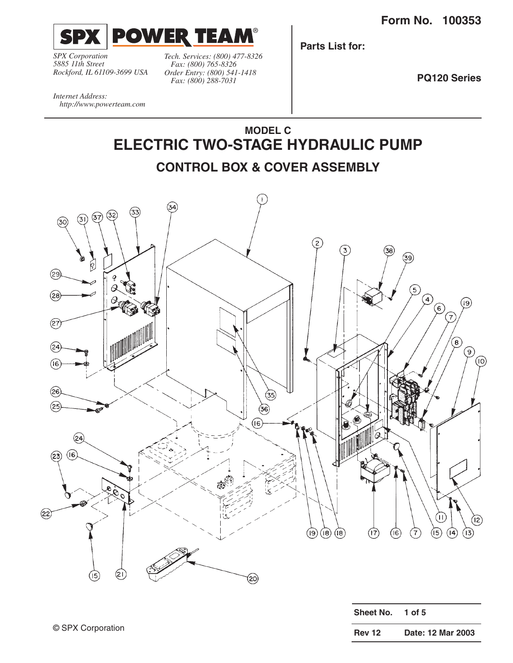**Form No. 100353**



*SPX Corporation 5885 11th Street Rockford, IL 61109-3699 USA* *Tech. Services: (800) 477-8326 Fax: (800) 765-8326 Order Entry: (800) 541-1418 Fax: (800) 288-7031*

**Parts List for:**

**PQ120 Series**

*Internet Address: http://www.powerteam.com*



(20)

| Sheet No.     | 1 of $5$          |
|---------------|-------------------|
| <b>Rev 12</b> | Date: 12 Mar 2003 |

 $(15)$ 

(2١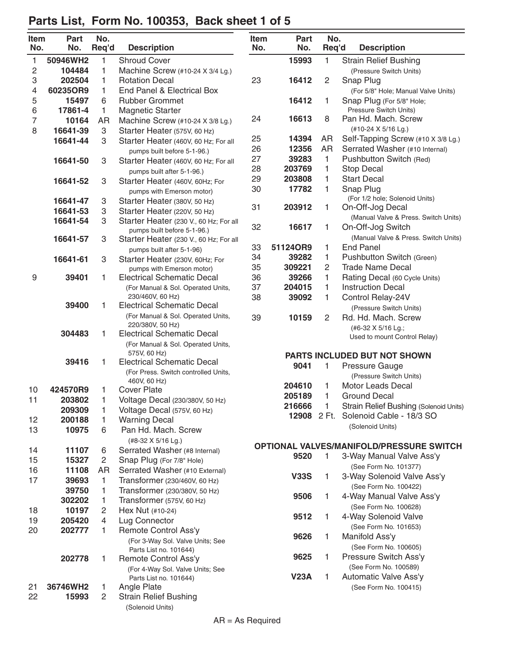#### **Item Part No. Item Part No. No. No. Req'd Description No. No. Req'd Description** 1 **50946WH2** 1 Shroud Cover 2 **104484** 1 Machine Screw (#10-24 X 3/4 Lg.) 3 **202504** 1 Rotation Decal 4 **60235OR9** 1 End Panel & Electrical Box 5 **15497** 6 Rubber Grommet 6 **17861-4** 1 Magnetic Starter 7 **10164** AR Machine Screw (#10-24 X 3/8 Lg.) 8 **16641-39** 3 Starter Heater (575V, 60 Hz) **16641-44** 3 Starter Heater (460V, 60 Hz; For all pumps built before 5-1-96.) **16641-50** 3 Starter Heater (460V, 60 Hz; For all pumps built after 5-1-96.) **16641-52** 3 Starter Heater (460V, 60Hz; For pumps with Emerson motor) **16641-47** 3 Starter Heater (380V, 50 Hz) **16641-53** 3 Starter Heater (220V, 50 Hz) **16641-54** 3 Starter Heater (230 V., 60 Hz; For all pumps built before 5-1-96.) **16641-57** 3 Starter Heater (230 V., 60 Hz; For all pumps built after 5-1-96) **16641-61** 3 Starter Heater (230V, 60Hz; For pumps with Emerson motor) 9 **39401** 1 Electrical Schematic Decal (For Manual & Sol. Operated Units, 230/460V, 60 Hz) **39400** 1 Electrical Schematic Decal (For Manual & Sol. Operated Units, 220/380V, 50 Hz) **304483** 1 Electrical Schematic Decal (For Manual & Sol. Operated Units, 575V, 60 Hz) **39416** 1 Electrical Schematic Decal (For Press. Switch controlled Units, 460V, 60 Hz) 10 **424570R9** 1 Cover Plate 11 **203802** 1 Voltage Decal (230/380V, 50 Hz) **209309** 1 Voltage Decal (575V, 60 Hz) 12 **200188** 1 Warning Decal 13 **10975** 6 Pan Hd. Mach. Screw (#8-32 X 5/16 Lg.) 14 **11107** 6 Serrated Washer (#8 Internal) 15 **15327** 2 Snap Plug (For 7/8" Hole) 16 **11108** AR Serrated Washer (#10 External) 17 **39693** 1 Transformer (230/460V, 60 Hz) **39750** 1 Transformer (230/380V, 50 Hz) **302202** 1 Transformer (575V, 60 Hz) 18 **10197** 2 Hex Nut (#10-24) 19 **205420** 4 Lug Connector 20 **202777** 1 Remote Control Ass'y (For 3-Way Sol. Valve Units; See Parts List no. 101644) **202778** 1 Remote Control Ass'y (For 4-Way Sol. Valve Units; See Parts List no. 101644) 21 **36746WH2** 1 Angle Plate 22 **15993** 2 Strain Relief Bushing (Solenoid Units) **15993** 1 Strain Relief Bushing (Pressure Switch Units) 23 **16412** 2 Snap Plug (For 5/8" Hole; Manual Valve Units) **16412** 1 Snap Plug (For 5/8" Hole; Pressure Switch Units) 24 **16613** 8 Pan Hd. Mach. Screw (#10-24 X 5/16 Lg.) 25 **14394** AR Self-Tapping Screw (#10 X 3/8 Lg.) 26 **12356** AR Serrated Washer (#10 Internal) 27 **39283** 1 Pushbutton Switch (Red) 28 **203769** 1 Stop Decal 29 **203808** 1 Start Decal 30 **17782** 1 Snap Plug (For 1/2 hole; Solenoid Units) 31 **203912** 1 On-Off-Jog Decal (Manual Valve & Press. Switch Units) 32 **16617** 1 On-Off-Jog Switch (Manual Valve & Press. Switch Units) 33 **51124OR9** 1 End Panel 34 **39282** 1 Pushbutton Switch (Green) 35 **309221** 2 Trade Name Decal 36 **39266** 1 Rating Decal (60 Cycle Units) 37 **204015** 1 Instruction Decal 38 **39092** 1 Control Relay-24V (Pressure Switch Units) 39 **10159** 2 Rd. Hd. Mach. Screw (#6-32 X 5/16 Lg.; Used to mount Control Relay) **PARTS INCLUDED BUT NOT SHOWN 9041** 1 Pressure Gauge (Pressure Switch Units) **204610** 1 Motor Leads Decal **205189** 1 Ground Decal 216666 1 Strain Relief Bushing (Solenoid Units) **12908** 2 Ft. Solenoid Cable - 18/3 SO (Solenoid Units) **OPTIONAL VALVES/MANIFOLD/PRESSURE SWITCH 9520** 1 3-Way Manual Valve Ass'y (See Form No. 101377) **V33S** 1 3-Way Solenoid Valve Ass'y (See Form No. 100422) **9506** 1 4-Way Manual Valve Ass'y (See Form No. 100628) **9512** 1 4-Way Solenoid Valve (See Form No. 101653) **9626** 1 Manifold Ass'y (See Form No. 100605) **9625** 1 Pressure Switch Ass'y (See Form No. 100589) **V23A** 1 Automatic Valve Ass'y (See Form No. 100415)

### **Parts List, Form No. 100353, Back sheet 1 of 5**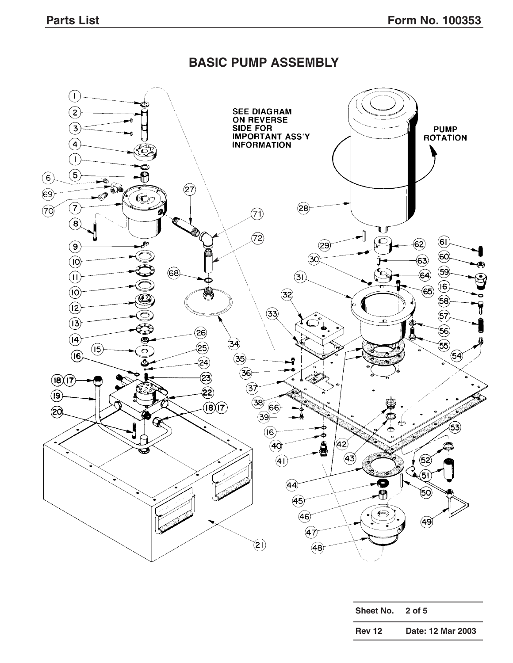### **BASIC PUMP ASSEMBLY**



| Sheet No.     | 2 of 5            |
|---------------|-------------------|
| <b>Rev 12</b> | Date: 12 Mar 2003 |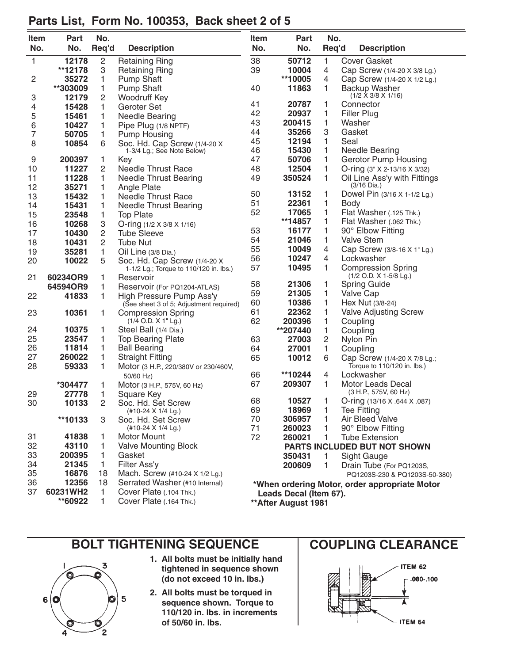| Item         | Part     | No.            |                                                                        | <b>Item</b> | Part                   | No.   |                                                 |
|--------------|----------|----------------|------------------------------------------------------------------------|-------------|------------------------|-------|-------------------------------------------------|
| No.          | No.      | Req'd          | <b>Description</b>                                                     | No.         | No.                    | Req'd | <b>Description</b>                              |
|              |          |                |                                                                        |             |                        |       |                                                 |
| $\mathbf{1}$ | 12178    | 2              | <b>Retaining Ring</b>                                                  | 38          | 50712                  | 1     | <b>Cover Gasket</b>                             |
|              | **12178  | 3              | <b>Retaining Ring</b>                                                  | 39          | 10004                  | 4     | Cap Screw (1/4-20 X 3/8 Lg.)                    |
| 2            | 35272    | 1              | <b>Pump Shaft</b>                                                      |             | **10005                | 4     | Cap Screw (1/4-20 X 1/2 Lg.)                    |
|              | **303009 | 1              | Pump Shaft                                                             | 40          | 11863                  | 1     | Backup Washer<br>$(1/2 \times 3/8 \times 1/16)$ |
| 3            | 12179    | 2              | Woodruff Key                                                           | 41          | 20787                  | 1     | Connector                                       |
| 4            | 15428    | 1              | Geroter Set                                                            | 42          | 20937                  | 1     | <b>Filler Plug</b>                              |
| 5            | 15461    | 1              | Needle Bearing                                                         | 43          | 200415                 | 1     | Washer                                          |
| 6            | 10427    | 1              | Pipe Plug (1/8 NPTF)                                                   | 44          | 35266                  | 3     | Gasket                                          |
| 7            | 50705    | 1              | <b>Pump Housing</b>                                                    | 45          | 12194                  | 1     | Seal                                            |
| 8            | 10854    | 6              | Soc. Hd. Cap Screw (1/4-20 X<br>1-3/4 Lg.; See Note Below)             | 46          | 15430                  | 1     | <b>Needle Bearing</b>                           |
| 9            | 200397   | 1              | Key                                                                    | 47          | 50706                  | 1     | Gerotor Pump Housing                            |
| 10           | 11227    | 2              | <b>Needle Thrust Race</b>                                              | 48          | 12504                  | 1     | O-ring (3" X 2-13/16 X 3/32)                    |
| 11           | 11228    | 1              | <b>Needle Thrust Bearing</b>                                           | 49          | 350524                 | 1     | Oil Line Ass'y with Fittings                    |
| 12           | 35271    | 1              | Angle Plate                                                            |             |                        |       | (3/16 Dia.)                                     |
| 13           | 15432    | 1              | <b>Needle Thrust Race</b>                                              | 50          | 13152                  | 1     | Dowel Pin (3/16 X 1-1/2 Lg.)                    |
| 14           | 15431    | 1              | <b>Needle Thrust Bearing</b>                                           | 51          | 22361                  | 1     | <b>Body</b>                                     |
| 15           | 23548    |                | <b>Top Plate</b>                                                       | 52          | 17065                  | 1     | Flat Washer (.125 Thk.)                         |
| 16           | 10268    | 1              |                                                                        |             | **14857                | 1     | Flat Washer (.062 Thk.)                         |
| 17           | 10430    | 3<br>2         | O-ring $(1/2 \times 3/8 \times 1/16)$<br><b>Tube Sleeve</b>            | 53          | 16177                  | 1     | 90° Elbow Fitting                               |
| 18           | 10431    | 2              | <b>Tube Nut</b>                                                        | 54          | 21046                  | 1     | <b>Valve Stem</b>                               |
|              | 35281    | 1              |                                                                        | 55          | 10049                  | 4     | Cap Screw (3/8-16 X 1" Lg.)                     |
| 19<br>20     | 10022    |                | Oil Line (3/8 Dia.)                                                    | 56          | 10247                  | 4     | Lockwasher                                      |
|              |          | 5              | Soc. Hd. Cap Screw (1/4-20 X<br>1-1/2 Lg.; Torque to 110/120 in. lbs.) | 57          | 10495                  | 1     | <b>Compression Spring</b>                       |
| 21           | 60234OR9 | 1              | Reservoir                                                              |             |                        |       | (1/2 O.D. X 1-5/8 Lg.)                          |
|              | 64594OR9 | 1              | Reservoir (For PQ1204-ATLAS)                                           | 58          | 21306                  | 1     | <b>Spring Guide</b>                             |
| 22           | 41833    | 1              | High Pressure Pump Ass'y                                               | 59          | 21305                  | 1     | Valve Cap                                       |
|              |          |                | (See sheet 3 of 5; Adjustment required)                                | 60          | 10386                  | 1     | Hex Nut (3/8-24)                                |
| 23           | 10361    | 1              | <b>Compression Spring</b>                                              | 61          | 22362                  | 1     | Valve Adjusting Screw                           |
|              |          |                | $(1/4$ O.D. X 1" Lg.)                                                  | 62          | 200396                 | 1     | Coupling                                        |
| 24           | 10375    | 1              | Steel Ball (1/4 Dia.)                                                  |             | **207440               | 1     | Coupling                                        |
| 25           | 23547    | 1              | <b>Top Bearing Plate</b>                                               | 63          | 27003                  | 2     | Nylon Pin                                       |
| 26           | 11814    | 1              | <b>Ball Bearing</b>                                                    | 64          | 27001                  | 1     | Coupling                                        |
| 27           | 260022   | 1              | <b>Straight Fitting</b>                                                | 65          | 10012                  | 6     | Cap Screw (1/4-20 X 7/8 Lg.;                    |
| 28           | 59333    | 1              | Motor (3 H.P., 220/380V or 230/460V,                                   |             |                        |       | Torque to 110/120 in. lbs.)                     |
|              |          |                | 50/60 Hz)                                                              | 66          | **10244                | 4     | Lockwasher                                      |
|              | *304477  | 1              | Motor (3 H.P., 575V, 60 Hz)                                            | 67          | 209307                 | 1     | Motor Leads Decal                               |
| 29           | 27778    | 1              | Square Key                                                             |             |                        |       | (3 H.P., 575V, 60 Hz)                           |
| 30           | 10133    | $\overline{2}$ | Soc. Hd. Set Screw                                                     | 68          | 10527                  |       | O-ring (13/16 X .644 X .087)                    |
|              |          |                | (#10-24 X 1/4 Lg.)                                                     | 69          | 18969                  | 1     | <b>Tee Fitting</b>                              |
|              | **10133  | 3              | Soc. Hd. Set Screw                                                     | 70          | 306957                 | 1.    | Air Bleed Valve                                 |
|              |          |                | (#10-24 X 1/4 Lg.)                                                     | 71          | 260023                 | 1     | 90° Elbow Fitting                               |
| 31           | 41838    | 1              | Motor Mount                                                            | 72          | 260021                 | 1     | <b>Tube Extension</b>                           |
| 32           | 43110    | 1              | <b>Valve Mounting Block</b>                                            |             |                        |       | PARTS INCLUDED BUT NOT SHOWN                    |
| 33           | 200395   | 1              | Gasket                                                                 |             | 350431                 | 1.    | Sight Gauge                                     |
| 34           | 21345    | 1              | Filter Ass'y                                                           |             | 200609                 | 1.    | Drain Tube (For PQ1203S,                        |
| 35           | 16876    | 18             | Mach. Screw (#10-24 X 1/2 Lg.)                                         |             |                        |       | PQ1203S-230 & PQ1203S-50-380)                   |
| 36           | 12356    | 18             | Serrated Washer (#10 Internal)                                         |             |                        |       | *When ordering Motor, order appropriate Motor   |
| 37           | 60231WH2 | 1              | Cover Plate (.104 Thk.)                                                |             | Leads Decal (Item 67). |       |                                                 |
|              | **60922  | 1.             | Cover Plate (.164 Thk.)                                                |             | ** After August 1981   |       |                                                 |

## **Parts List, Form No. 100353, Back sheet 2 of 5**

# **BOLT TIGHTENING SEQUENCE | COUPLING CLEARANCE**



- **1. All bolts must be initially hand tightened in sequence shown (do not exceed 10 in. lbs.)**
- **2. All bolts must be torqued in sequence shown. Torque to 110/120 in. lbs. in increments of 50/60 in. lbs.**

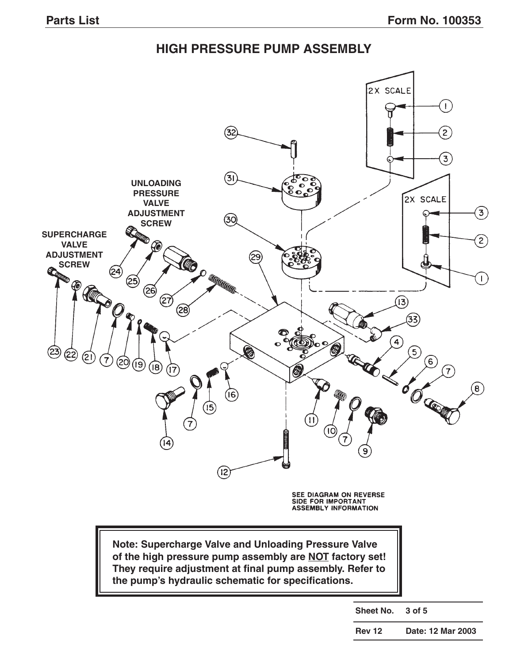### **HIGH PRESSURE PUMP ASSEMBLY**



**They require adjustment at final pump assembly. Refer to the pump's hydraulic schematic for specifications.**

**Sheet No. 3 of 5**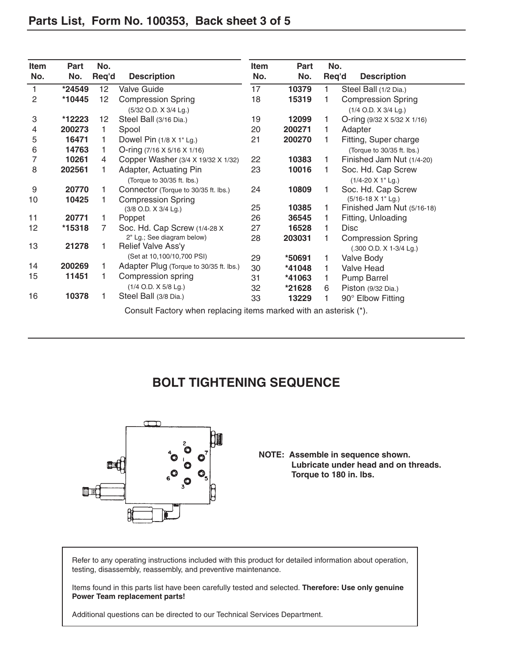| Item             | Part     | No.   |                                                                   | Item | Part   | No.   |                                                      |
|------------------|----------|-------|-------------------------------------------------------------------|------|--------|-------|------------------------------------------------------|
| No.              | No.      | Req'd | <b>Description</b>                                                | No.  | No.    | Req'd | <b>Description</b>                                   |
| 1                | *24549   | 12    | <b>Valve Guide</b>                                                | 17   | 10379  | 1     | Steel Ball (1/2 Dia.)                                |
| 2                | *10445   | 12    | <b>Compression Spring</b>                                         | 18   | 15319  |       | <b>Compression Spring</b>                            |
|                  |          |       | (5/32 O.D. X 3/4 Lg.)                                             |      |        |       | (1/4 O.D. X 3/4 Lg.)                                 |
| 3                | *12223   | 12    | Steel Ball (3/16 Dia.)                                            | 19   | 12099  | 1     | O-ring $(9/32 \times 5/32 \times 1/16)$              |
| 4                | 200273   | 1     | Spool                                                             | 20   | 200271 |       | Adapter                                              |
| 5                | 16471    | 1     | Dowel Pin (1/8 X 1" Lg.)                                          | 21   | 200270 | 1     | Fitting, Super charge                                |
| 6                | 14763    | 1     | O-ring $(7/16 \times 5/16 \times 1/16)$                           |      |        |       | (Torque to 30/35 ft. lbs.)                           |
| 7                | 10261    | 4     | Copper Washer (3/4 X 19/32 X 1/32)                                | 22   | 10383  | 1     | Finished Jam Nut (1/4-20)                            |
| 8                | 202561   |       | Adapter, Actuating Pin<br>(Torque to 30/35 ft. lbs.)              | 23   | 10016  |       | Soc. Hd. Cap Screw<br>$(1/4 - 20 \times 1"$ Lg.)     |
| $\boldsymbol{9}$ | 20770    | 1     | Connector (Torque to 30/35 ft. lbs.)                              | 24   | 10809  | 1     | Soc. Hd. Cap Screw                                   |
| 10               | 10425    |       | <b>Compression Spring</b>                                         |      |        |       | (5/16-18 X 1" Lg.)                                   |
|                  |          |       | (3/8 O.D. X 3/4 Lg.)                                              | 25   | 10385  | 1     | Finished Jam Nut (5/16-18)                           |
| 11               | 20771    | 1     | Poppet                                                            | 26   | 36545  |       | Fitting, Unloading                                   |
| 12               | $*15318$ | 7     | Soc. Hd. Cap Screw (1/4-28 X                                      | 27   | 16528  |       | <b>Disc</b>                                          |
| 13               | 21278    | 1     | 2" Lg.; See diagram below)<br>Relief Valve Ass'y                  | 28   | 203031 |       | <b>Compression Spring</b><br>(.300 O.D. X 1-3/4 Lg.) |
|                  |          |       | (Set at 10,100/10,700 PSI)                                        | 29   | *50691 | 1     | Valve Body                                           |
| 14               | 200269   | 1     | Adapter Plug (Torque to 30/35 ft. lbs.)                           | 30   | *41048 | 1     | Valve Head                                           |
| 15               | 11451    | 1     | Compression spring                                                | 31   | *41063 | 1     | Pump Barrel                                          |
|                  |          |       | (1/4 O.D. X 5/8 Lg.)                                              | 32   | *21628 | 6     | Piston (9/32 Dia.)                                   |
| 16               | 10378    | 1     | Steel Ball (3/8 Dia.)                                             | 33   | 13229  |       | 90° Elbow Fitting                                    |
|                  |          |       | Consult Factory when replacing items marked with an asterisk (*). |      |        |       |                                                      |

### **BOLT TIGHTENING SEQUENCE**



### **NOTE: Assemble in sequence shown. Lubricate under head and on threads. Torque to 180 in. lbs.**

Refer to any operating instructions included with this product for detailed information about operation, testing, disassembly, reassembly, and preventive maintenance.

Items found in this parts list have been carefully tested and selected. **Therefore: Use only genuine Power Team replacement parts!**

Additional questions can be directed to our Technical Services Department.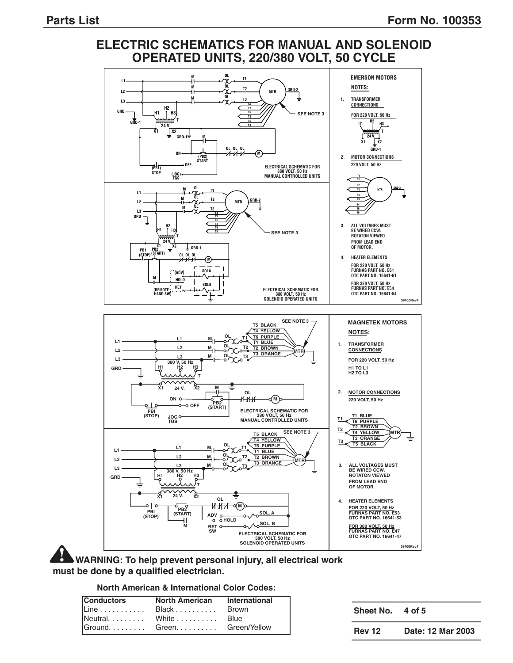### **ELECTRIC SCHEMATICS FOR MANUAL AND SOLENOID OPERATED UNITS, 220/380 VOLT, 50 CYCLE**



**WARNING: To help prevent personal injury, all electrical work must be done by a qualified electrician.**

#### **North American & International Color Codes:**

| <b>Conductors</b> | North American International |  |
|-------------------|------------------------------|--|
|                   |                              |  |
|                   |                              |  |
|                   |                              |  |

| Sheet No.     | 4 of 5            |
|---------------|-------------------|
| <b>Rev 12</b> | Date: 12 Mar 2003 |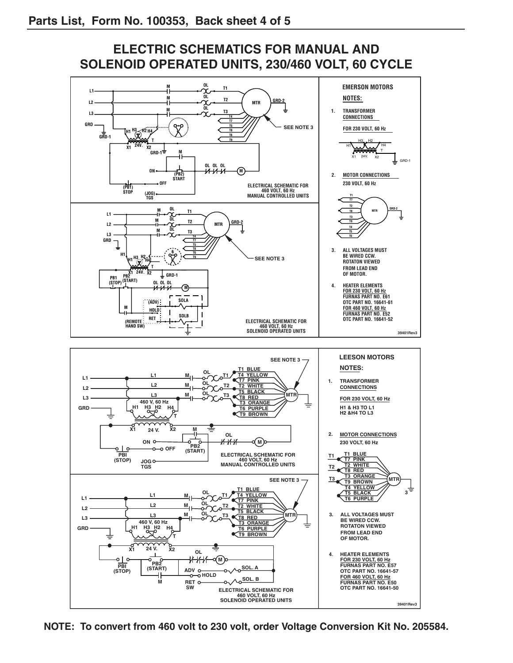### **ELECTRIC SCHEMATICS FOR MANUAL AND SOLENOID OPERATED UNITS, 230/460 VOLT, 60 CYCLE**

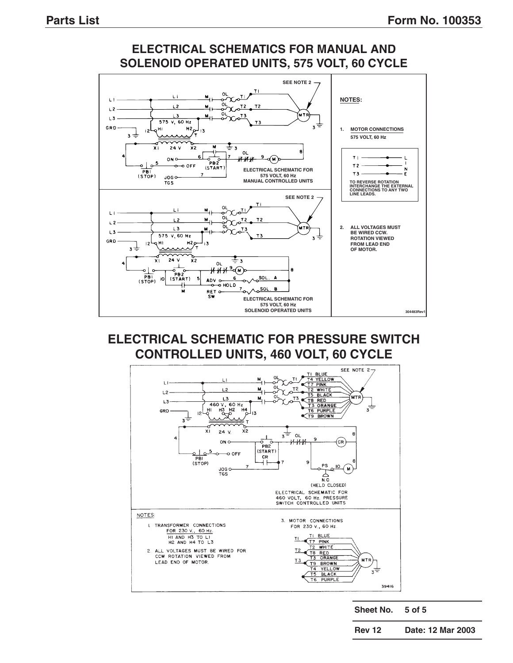

### **ELECTRICAL SCHEMATICS FOR MANUAL AND SOLENOID OPERATED UNITS, 575 VOLT, 60 CYCLE**

### **ELECTRICAL SCHEMATIC FOR PRESSURE SWITCH CONTROLLED UNITS, 460 VOLT, 60 CYCLE**



**Sheet No. 5 of 5**